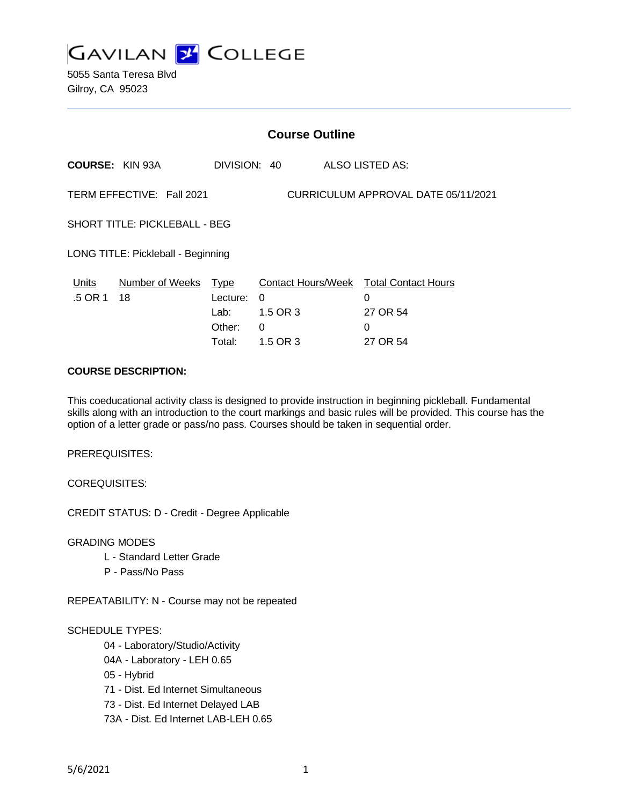

5055 Santa Teresa Blvd Gilroy, CA 95023

| <b>Course Outline</b>                                        |                           |                                                              |
|--------------------------------------------------------------|---------------------------|--------------------------------------------------------------|
|                                                              |                           | <b>ALSO LISTED AS:</b>                                       |
| TERM EFFECTIVE: Fall 2021                                    |                           | CURRICULUM APPROVAL DATE 05/11/2021                          |
| <b>SHORT TITLE: PICKLEBALL - BEG</b>                         |                           |                                                              |
| LONG TITLE: Pickleball - Beginning                           |                           |                                                              |
| Number of Weeks<br><b>Type</b><br>Lecture:<br>Lab:<br>Other: | $\Omega$<br>1.5 OR 3<br>0 | <b>Total Contact Hours</b><br>0<br>27 OR 54<br>0<br>27 OR 54 |
|                                                              | Total:                    | DIVISION: 40<br><b>Contact Hours/Week</b><br>1.5 OR 3        |

### **COURSE DESCRIPTION:**

This coeducational activity class is designed to provide instruction in beginning pickleball. Fundamental skills along with an introduction to the court markings and basic rules will be provided. This course has the option of a letter grade or pass/no pass. Courses should be taken in sequential order.

PREREQUISITES:

COREQUISITES:

CREDIT STATUS: D - Credit - Degree Applicable

GRADING MODES

- L Standard Letter Grade
- P Pass/No Pass

REPEATABILITY: N - Course may not be repeated

#### SCHEDULE TYPES:

04 - Laboratory/Studio/Activity

- 04A Laboratory LEH 0.65
- 05 Hybrid
- 71 Dist. Ed Internet Simultaneous
- 73 Dist. Ed Internet Delayed LAB
- 73A Dist. Ed Internet LAB-LEH 0.65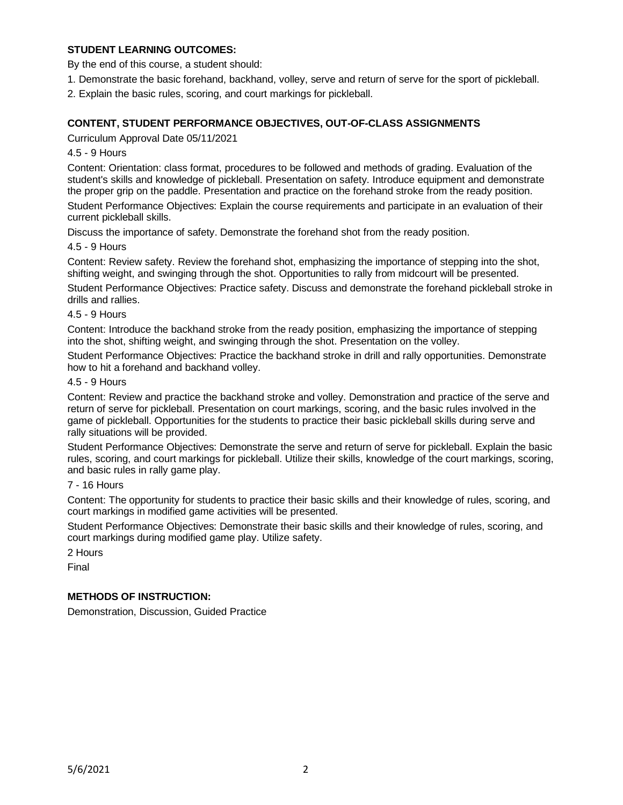# **STUDENT LEARNING OUTCOMES:**

By the end of this course, a student should:

- 1. Demonstrate the basic forehand, backhand, volley, serve and return of serve for the sport of pickleball.
- 2. Explain the basic rules, scoring, and court markings for pickleball.

# **CONTENT, STUDENT PERFORMANCE OBJECTIVES, OUT-OF-CLASS ASSIGNMENTS**

Curriculum Approval Date 05/11/2021

4.5 - 9 Hours

Content: Orientation: class format, procedures to be followed and methods of grading. Evaluation of the student's skills and knowledge of pickleball. Presentation on safety. Introduce equipment and demonstrate the proper grip on the paddle. Presentation and practice on the forehand stroke from the ready position.

Student Performance Objectives: Explain the course requirements and participate in an evaluation of their current pickleball skills.

Discuss the importance of safety. Demonstrate the forehand shot from the ready position.

4.5 - 9 Hours

Content: Review safety. Review the forehand shot, emphasizing the importance of stepping into the shot, shifting weight, and swinging through the shot. Opportunities to rally from midcourt will be presented.

Student Performance Objectives: Practice safety. Discuss and demonstrate the forehand pickleball stroke in drills and rallies.

4.5 - 9 Hours

Content: Introduce the backhand stroke from the ready position, emphasizing the importance of stepping into the shot, shifting weight, and swinging through the shot. Presentation on the volley.

Student Performance Objectives: Practice the backhand stroke in drill and rally opportunities. Demonstrate how to hit a forehand and backhand volley.

### 4.5 - 9 Hours

Content: Review and practice the backhand stroke and volley. Demonstration and practice of the serve and return of serve for pickleball. Presentation on court markings, scoring, and the basic rules involved in the game of pickleball. Opportunities for the students to practice their basic pickleball skills during serve and rally situations will be provided.

Student Performance Objectives: Demonstrate the serve and return of serve for pickleball. Explain the basic rules, scoring, and court markings for pickleball. Utilize their skills, knowledge of the court markings, scoring, and basic rules in rally game play.

7 - 16 Hours

Content: The opportunity for students to practice their basic skills and their knowledge of rules, scoring, and court markings in modified game activities will be presented.

Student Performance Objectives: Demonstrate their basic skills and their knowledge of rules, scoring, and court markings during modified game play. Utilize safety.

2 Hours

Final

## **METHODS OF INSTRUCTION:**

Demonstration, Discussion, Guided Practice